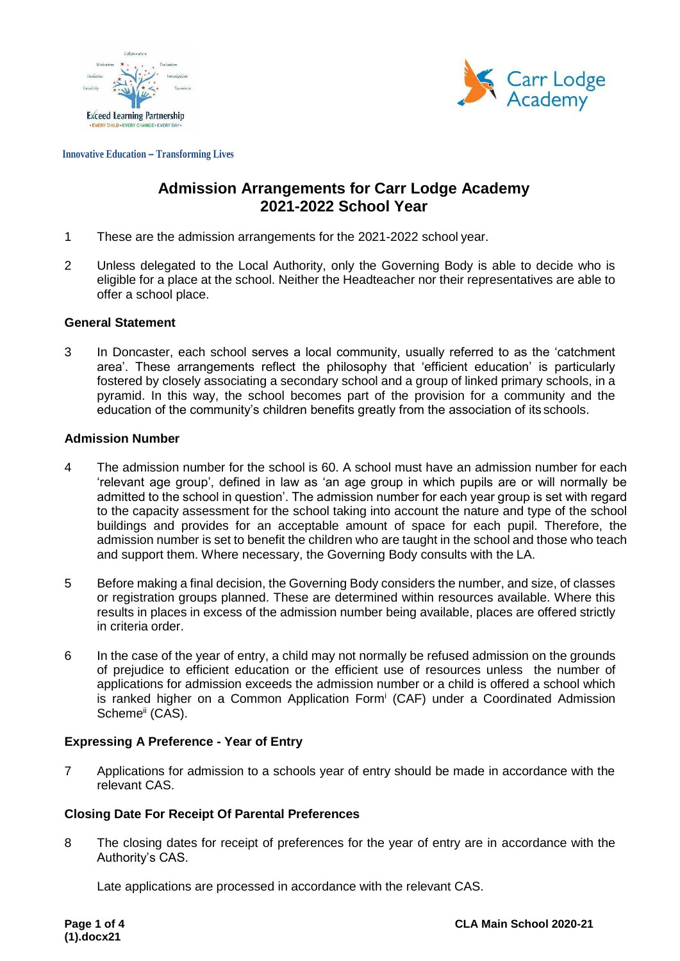



**Innovative Education – Transforming Lives**

# **Admission Arrangements for Carr Lodge Academy 2021-2022 School Year**

- 1 These are the admission arrangements for the 2021-2022 school year.
- 2 Unless delegated to the Local Authority, only the Governing Body is able to decide who is eligible for a place at the school. Neither the Headteacher nor their representatives are able to offer a school place.

### **General Statement**

3 In Doncaster, each school serves a local community, usually referred to as the 'catchment area'. These arrangements reflect the philosophy that 'efficient education' is particularly fostered by closely associating a secondary school and a group of linked primary schools, in a pyramid. In this way, the school becomes part of the provision for a community and the education of the community's children benefits greatly from the association of its schools.

### **Admission Number**

- 4 The admission number for the school is 60. A school must have an admission number for each 'relevant age group', defined in law as 'an age group in which pupils are or will normally be admitted to the school in question'. The admission number for each year group is set with regard to the capacity assessment for the school taking into account the nature and type of the school buildings and provides for an acceptable amount of space for each pupil. Therefore, the admission number is set to benefit the children who are taught in the school and those who teach and support them. Where necessary, the Governing Body consults with the LA.
- 5 Before making a final decision, the Governing Body considers the number, and size, of classes or registration groups planned. These are determined within resources available. Where this results in places in excess of the admission number being available, places are offered strictly in criteria order.
- 6 In the case of the year of entry, a child may not normally be refused admission on the grounds of prejudice to efficient education or the efficient use of resources unless the number of applications for admission exceeds the admission number or a child is offered a school which is ranked higher on a Common Application Form<sup>i</sup> (CAF) under a Coordinated Admission Scheme<sup>ii</sup> (CAS).

# **Expressing A Preference - Year of Entry**

7 Applications for admission to a schools year of entry should be made in accordance with the relevant CAS.

# **Closing Date For Receipt Of Parental Preferences**

8 The closing dates for receipt of preferences for the year of entry are in accordance with the Authority's CAS.

Late applications are processed in accordance with the relevant CAS.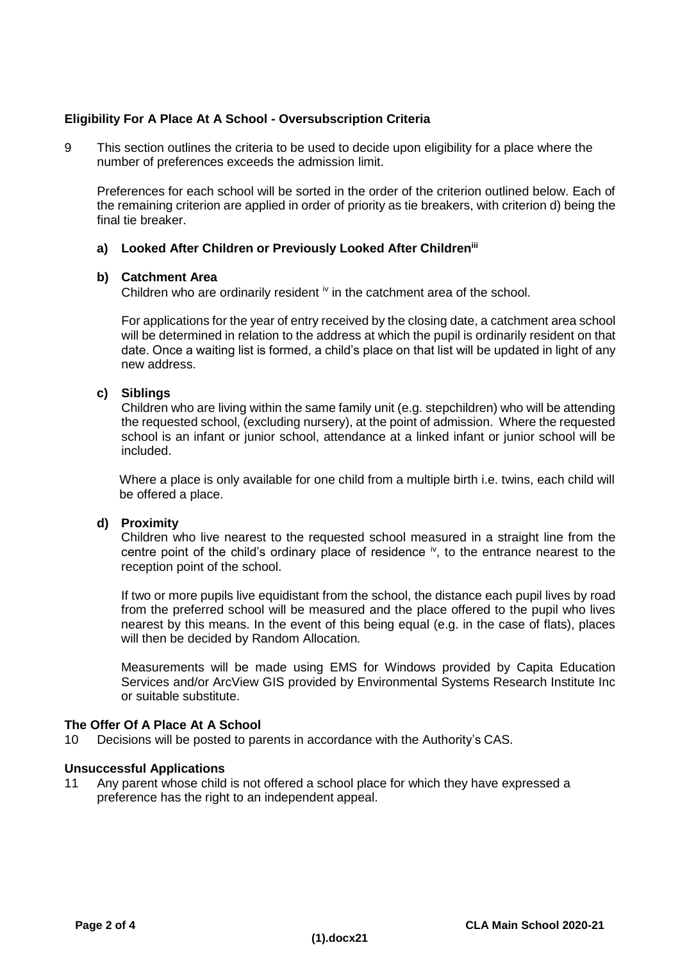# **Eligibility For A Place At A School - Oversubscription Criteria**

9 This section outlines the criteria to be used to decide upon eligibility for a place where the number of preferences exceeds the admission limit.

Preferences for each school will be sorted in the order of the criterion outlined below. Each of the remaining criterion are applied in order of priority as tie breakers, with criterion d) being the final tie breaker.

# **a) Looked After Children or Previously Looked After Childreniii**

### **b) Catchment Area**

Children who are ordinarily resident  $\dot{w}$  in the catchment area of the school.

For applications for the year of entry received by the closing date, a catchment area school will be determined in relation to the address at which the pupil is ordinarily resident on that date. Once a waiting list is formed, a child's place on that list will be updated in light of any new address.

### **c) Siblings**

Children who are living within the same family unit (e.g. stepchildren) who will be attending the requested school, (excluding nursery), at the point of admission. Where the requested school is an infant or junior school, attendance at a linked infant or junior school will be included.

Where a place is only available for one child from a multiple birth i.e. twins, each child will be offered a place.

### **d) Proximity**

Children who live nearest to the requested school measured in a straight line from the centre point of the child's ordinary place of residence  $\dot{v}$ , to the entrance nearest to the reception point of the school.

If two or more pupils live equidistant from the school, the distance each pupil lives by road from the preferred school will be measured and the place offered to the pupil who lives nearest by this means. In the event of this being equal (e.g. in the case of flats), places will then be decided by Random Allocation*.*

Measurements will be made using EMS for Windows provided by Capita Education Services and/or ArcView GIS provided by Environmental Systems Research Institute Inc or suitable substitute.

# **The Offer Of A Place At A School**

10 Decisions will be posted to parents in accordance with the Authority's CAS.

### **Unsuccessful Applications**

11 Any parent whose child is not offered a school place for which they have expressed a preference has the right to an independent appeal.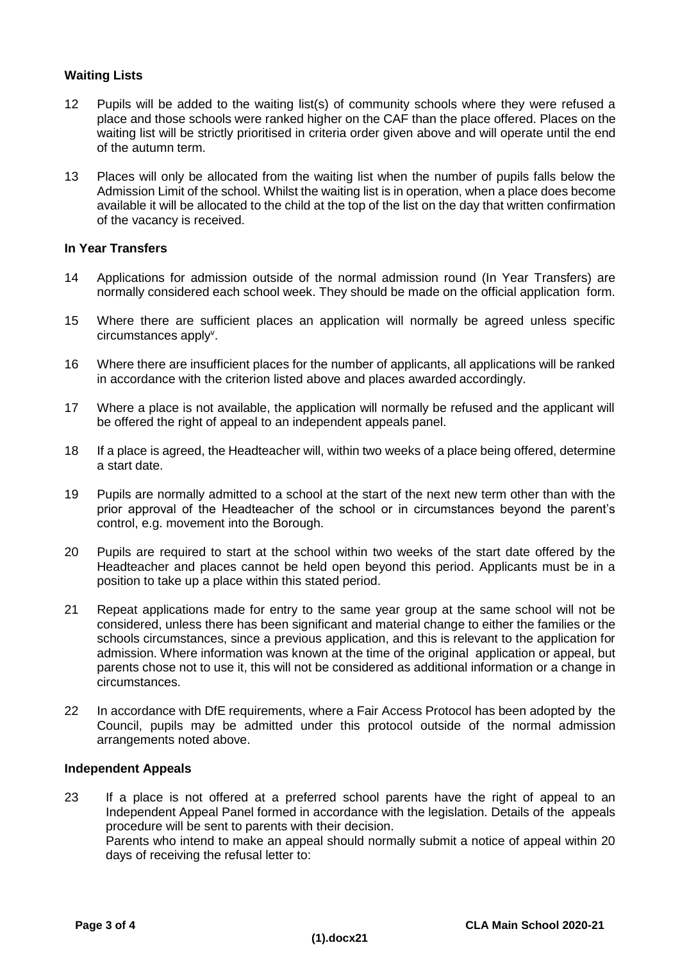# **Waiting Lists**

- 12 Pupils will be added to the waiting list(s) of community schools where they were refused a place and those schools were ranked higher on the CAF than the place offered. Places on the waiting list will be strictly prioritised in criteria order given above and will operate until the end of the autumn term.
- 13 Places will only be allocated from the waiting list when the number of pupils falls below the Admission Limit of the school. Whilst the waiting list is in operation, when a place does become available it will be allocated to the child at the top of the list on the day that written confirmation of the vacancy is received.

# **In Year Transfers**

- 14 Applications for admission outside of the normal admission round (In Year Transfers) are normally considered each school week. They should be made on the official application form.
- 15 Where there are sufficient places an application will normally be agreed unless specific circumstances apply<sup>v</sup>.
- 16 Where there are insufficient places for the number of applicants, all applications will be ranked in accordance with the criterion listed above and places awarded accordingly.
- 17 Where a place is not available, the application will normally be refused and the applicant will be offered the right of appeal to an independent appeals panel.
- 18 If a place is agreed, the Headteacher will, within two weeks of a place being offered, determine a start date.
- 19 Pupils are normally admitted to a school at the start of the next new term other than with the prior approval of the Headteacher of the school or in circumstances beyond the parent's control, e.g. movement into the Borough.
- 20 Pupils are required to start at the school within two weeks of the start date offered by the Headteacher and places cannot be held open beyond this period. Applicants must be in a position to take up a place within this stated period.
- 21 Repeat applications made for entry to the same year group at the same school will not be considered, unless there has been significant and material change to either the families or the schools circumstances, since a previous application, and this is relevant to the application for admission. Where information was known at the time of the original application or appeal, but parents chose not to use it, this will not be considered as additional information or a change in circumstances.
- 22 In accordance with DfE requirements, where a Fair Access Protocol has been adopted by the Council, pupils may be admitted under this protocol outside of the normal admission arrangements noted above.

# **Independent Appeals**

23 If a place is not offered at a preferred school parents have the right of appeal to an Independent Appeal Panel formed in accordance with the legislation. Details of the appeals procedure will be sent to parents with their decision. Parents who intend to make an appeal should normally submit a notice of appeal within 20 days of receiving the refusal letter to: